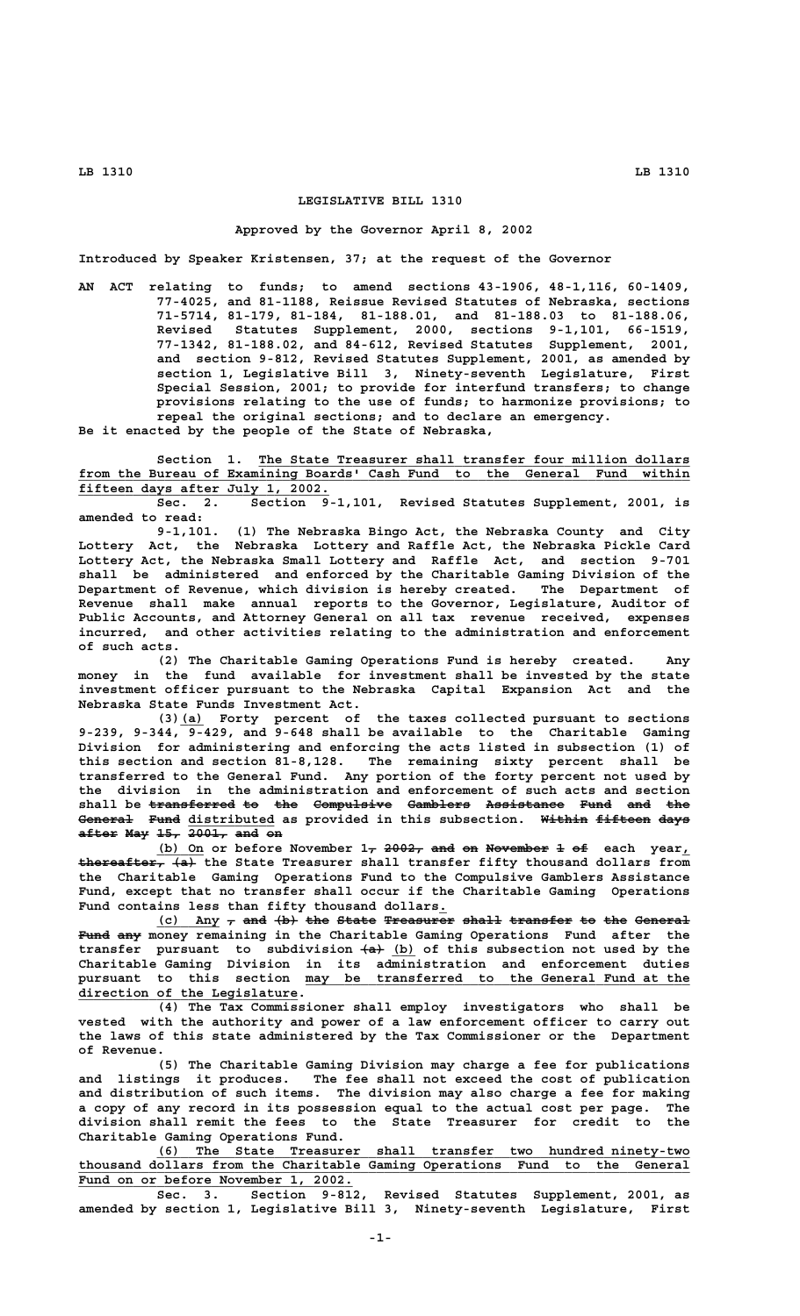# **LEGISLATIVE BILL 1310**

### **Approved by the Governor April 8, 2002**

**Introduced by Speaker Kristensen, 37; at the request of the Governor**

**AN ACT relating to funds; to amend sections 43-1906, 48-1,116, 60-1409, 77-4025, and 81-1188, Reissue Revised Statutes of Nebraska, sections 71-5714, 81-179, 81-184, 81-188.01, and 81-188.03 to 81-188.06, Revised Statutes Supplement, 2000, sections 9-1,101, 66-1519, 77-1342, 81-188.02, and 84-612, Revised Statutes Supplement, 2001, and section 9-812, Revised Statutes Supplement, 2001, as amended by section 1, Legislative Bill 3, Ninety-seventh Legislature, First Special Session, 2001; to provide for interfund transfers; to change provisions relating to the use of funds; to harmonize provisions; to repeal the original sections; and to declare an emergency.**

**Be it enacted by the people of the State of Nebraska,**

Section 1. The State Treasurer shall transfer four million dollars  **\_\_\_\_\_\_\_\_\_\_\_\_\_\_\_\_\_\_\_\_\_\_\_\_\_\_\_\_\_\_\_\_\_\_\_\_\_\_\_\_\_\_\_\_\_\_\_\_\_\_\_\_\_\_\_\_\_\_\_\_\_\_\_\_\_\_\_\_\_\_\_\_\_\_\_\_\_\_ from the Bureau of Examining Boards' Cash Fund to the General Fund within \_\_\_\_\_\_\_\_\_\_\_\_\_\_\_\_\_\_\_\_\_\_\_\_\_\_\_\_\_\_\_\_ fifteen days after July 1, 2002.**

**Sec. 2. Section 9-1,101, Revised Statutes Supplement, 2001, is amended to read:**

**9-1,101. (1) The Nebraska Bingo Act, the Nebraska County and City Lottery Act, the Nebraska Lottery and Raffle Act, the Nebraska Pickle Card Lottery Act, the Nebraska Small Lottery and Raffle Act, and section 9-701 shall be administered and enforced by the Charitable Gaming Division of the Department of Revenue, which division is hereby created. The Department of Revenue shall make annual reports to the Governor, Legislature, Auditor of Public Accounts, and Attorney General on all tax revenue received, expenses incurred, and other activities relating to the administration and enforcement of such acts.**

**(2) The Charitable Gaming Operations Fund is hereby created. Any money in the fund available for investment shall be invested by the state investment officer pursuant to the Nebraska Capital Expansion Act and the Nebraska State Funds Investment Act.**

 **\_\_\_ (3)(a) Forty percent of the taxes collected pursuant to sections 9-239, 9-344, 9-429, and 9-648 shall be available to the Charitable Gaming Division for administering and enforcing the acts listed in subsection (1) of this section and section 81-8,128. The remaining sixty percent shall be transferred to the General Fund. Any portion of the forty percent not used by the division in the administration and enforcement of such acts and section** shall be <del>transferred</del> to the Compulsive Gamblers Assistance Fund and the General Fund distributed as provided in this subsection. Within fifteen days **after May 15, 2001, and on ————— ——— ——— ————— ——— ——**

> (b) On or before November 1<sub>7</sub> 2002, and on November 1 of each year,  **——————————— ——— thereafter, (a) the State Treasurer shall transfer fifty thousand dollars from the Charitable Gaming Operations Fund to the Compulsive Gamblers Assistance Fund, except that no transfer shall occur if the Charitable Gaming Operations Fund contains less than fifty thousand dollars.\_**

(c) Any  $_{\tau}$  and (b) the State Treasurer shall transfer to the General  **———— ——— Fund any money remaining in the Charitable Gaming Operations Fund after the** transfer pursuant to subdivision  $\leftarrow$  (b) of this subsection not used by the **Charitable Gaming Division in its administration and enforcement duties \_\_\_\_\_\_\_\_\_\_\_\_\_\_\_\_\_\_\_\_\_\_\_\_\_\_\_\_\_\_\_\_\_\_\_\_\_\_\_\_\_\_\_\_\_\_\_\_\_ pursuant to this section may be transferred to the General Fund at the \_\_\_\_\_\_\_\_\_\_\_\_\_\_\_\_\_\_\_\_\_\_\_\_\_\_\_\_ direction of the Legislature.**

**(4) The Tax Commissioner shall employ investigators who shall be vested with the authority and power of a law enforcement officer to carry out the laws of this state administered by the Tax Commissioner or the Department of Revenue.**

**(5) The Charitable Gaming Division may charge a fee for publications and listings it produces. The fee shall not exceed the cost of publication and distribution of such items. The division may also charge a fee for making a copy of any record in its possession equal to the actual cost per page. The division shall remit the fees to the State Treasurer for credit to the Charitable Gaming Operations Fund.**

 **\_\_\_\_\_\_\_\_\_\_\_\_\_\_\_\_\_\_\_\_\_\_\_\_\_\_\_\_\_\_\_\_\_\_\_\_\_\_\_\_\_\_\_\_\_\_\_\_\_\_\_\_\_\_\_\_\_\_\_\_\_\_\_\_\_\_\_\_ (6) The State Treasurer shall transfer two hundred ninety-two \_\_\_\_\_\_\_\_\_\_\_\_\_\_\_\_\_\_\_\_\_\_\_\_\_\_\_\_\_\_\_\_\_\_\_\_\_\_\_\_\_\_\_\_\_\_\_\_\_\_\_\_\_\_\_\_\_\_\_\_\_\_\_\_\_\_\_\_\_\_\_\_\_\_\_\_\_\_ thousand dollars from the Charitable Gaming Operations Fund to the General** Fund on or before November 1, 2002.

**Sec. 3. Section 9-812, Revised Statutes Supplement, 2001, as amended by section 1, Legislative Bill 3, Ninety-seventh Legislature, First**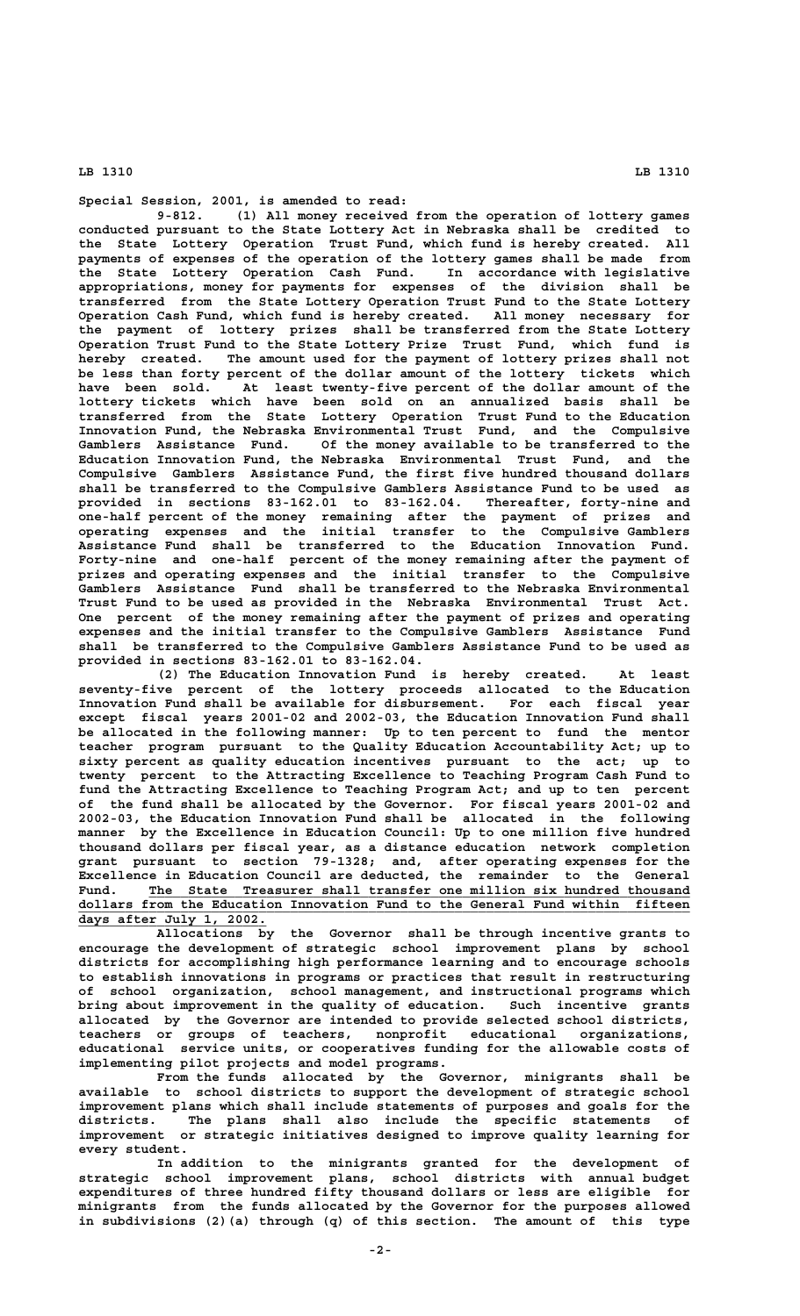**Special Session, 2001, is amended to read:**

**9-812. (1) All money received from the operation of lottery games conducted pursuant to the State Lottery Act in Nebraska shall be credited to the State Lottery Operation Trust Fund, which fund is hereby created. All payments of expenses of the operation of the lottery games shall be made from the State Lottery Operation Cash Fund. In accordance with legislative appropriations, money for payments for expenses of the division shall be transferred from the State Lottery Operation Trust Fund to the State Lottery Operation Cash Fund, which fund is hereby created. All money necessary for the payment of lottery prizes shall be transferred from the State Lottery Operation Trust Fund to the State Lottery Prize Trust Fund, which fund is hereby created. The amount used for the payment of lottery prizes shall not be less than forty percent of the dollar amount of the lottery tickets which have been sold. At least twenty-five percent of the dollar amount of the lottery tickets which have been sold on an annualized basis shall be transferred from the State Lottery Operation Trust Fund to the Education Innovation Fund, the Nebraska Environmental Trust Fund, and the Compulsive Gamblers Assistance Fund. Of the money available to be transferred to the Education Innovation Fund, the Nebraska Environmental Trust Fund, and the Compulsive Gamblers Assistance Fund, the first five hundred thousand dollars shall be transferred to the Compulsive Gamblers Assistance Fund to be used as provided in sections 83-162.01 to 83-162.04. Thereafter, forty-nine and one-half percent of the money remaining after the payment of prizes and operating expenses and the initial transfer to the Compulsive Gamblers Assistance Fund shall be transferred to the Education Innovation Fund. Forty-nine and one-half percent of the money remaining after the payment of prizes and operating expenses and the initial transfer to the Compulsive Gamblers Assistance Fund shall be transferred to the Nebraska Environmental Trust Fund to be used as provided in the Nebraska Environmental Trust Act. One percent of the money remaining after the payment of prizes and operating expenses and the initial transfer to the Compulsive Gamblers Assistance Fund shall be transferred to the Compulsive Gamblers Assistance Fund to be used as provided in sections 83-162.01 to 83-162.04.**

**(2) The Education Innovation Fund is hereby created. At least seventy-five percent of the lottery proceeds allocated to the Education Innovation Fund shall be available for disbursement. For each fiscal year except fiscal years 2001-02 and 2002-03, the Education Innovation Fund shall be allocated in the following manner: Up to ten percent to fund the mentor teacher program pursuant to the Quality Education Accountability Act; up to sixty percent as quality education incentives pursuant to the act; up to twenty percent to the Attracting Excellence to Teaching Program Cash Fund to fund the Attracting Excellence to Teaching Program Act; and up to ten percent of the fund shall be allocated by the Governor. For fiscal years 2001-02 and 2002-03, the Education Innovation Fund shall be allocated in the following manner by the Excellence in Education Council: Up to one million five hundred thousand dollars per fiscal year, as a distance education network completion grant pursuant to section 79-1328; and, after operating expenses for the Excellence in Education Council are deducted, the remainder to the General** Fund. The State Treasurer shall transfer one million six hundred thousand  **\_\_\_\_\_\_\_\_\_\_\_\_\_\_\_\_\_\_\_\_\_\_\_\_\_\_\_\_\_\_\_\_\_\_\_\_\_\_\_\_\_\_\_\_\_\_\_\_\_\_\_\_\_\_\_\_\_\_\_\_\_\_\_\_\_\_\_\_\_\_\_\_\_\_\_\_\_\_ dollars from the Education Innovation Fund to the General Fund within fifteen \_\_\_\_\_\_\_\_\_\_\_\_\_\_\_\_\_\_\_\_\_\_\_\_ days after July 1, 2002.**

**Allocations by the Governor shall be through incentive grants to encourage the development of strategic school improvement plans by school districts for accomplishing high performance learning and to encourage schools to establish innovations in programs or practices that result in restructuring of school organization, school management, and instructional programs which bring about improvement in the quality of education. Such incentive grants allocated by the Governor are intended to provide selected school districts, teachers or groups of teachers, nonprofit educational organizations, educational service units, or cooperatives funding for the allowable costs of implementing pilot projects and model programs.**

**From the funds allocated by the Governor, minigrants shall be available to school districts to support the development of strategic school improvement plans which shall include statements of purposes and goals for the districts. The plans shall also include the specific statements of improvement or strategic initiatives designed to improve quality learning for every student.**

**In addition to the minigrants granted for the development of strategic school improvement plans, school districts with annual budget expenditures of three hundred fifty thousand dollars or less are eligible for minigrants from the funds allocated by the Governor for the purposes allowed in subdivisions (2)(a) through (q) of this section. The amount of this type**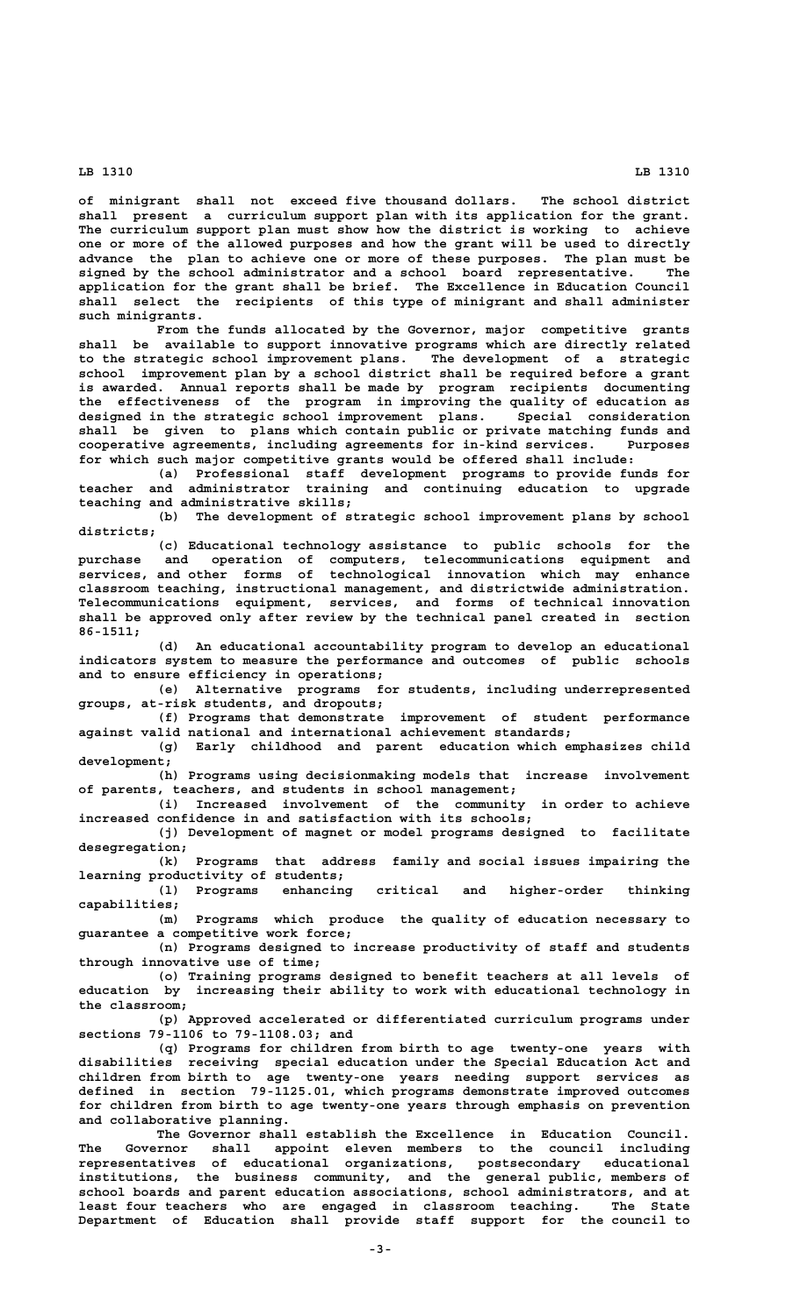**of minigrant shall not exceed five thousand dollars. The school district shall present a curriculum support plan with its application for the grant. The curriculum support plan must show how the district is working to achieve one or more of the allowed purposes and how the grant will be used to directly advance the plan to achieve one or more of these purposes. The plan must be signed by the school administrator and a school board representative. The application for the grant shall be brief. The Excellence in Education Council shall select the recipients of this type of minigrant and shall administer such minigrants.**

**From the funds allocated by the Governor, major competitive grants shall be available to support innovative programs which are directly related to the strategic school improvement plans. The development of a strategic school improvement plan by a school district shall be required before a grant is awarded. Annual reports shall be made by program recipients documenting the effectiveness of the program in improving the quality of education as** designed in the strategic school improvement plans. **shall be given to plans which contain public or private matching funds and cooperative agreements, including agreements for in-kind services. Purposes for which such major competitive grants would be offered shall include:**

**(a) Professional staff development programs to provide funds for teacher and administrator training and continuing education to upgrade teaching and administrative skills;**

**(b) The development of strategic school improvement plans by school districts;**

**(c) Educational technology assistance to public schools for the purchase and operation of computers, telecommunications equipment and services, and other forms of technological innovation which may enhance classroom teaching, instructional management, and districtwide administration. Telecommunications equipment, services, and forms of technical innovation shall be approved only after review by the technical panel created in section 86-1511;**

**(d) An educational accountability program to develop an educational indicators system to measure the performance and outcomes of public schools and to ensure efficiency in operations;**

**(e) Alternative programs for students, including underrepresented groups, at-risk students, and dropouts;**

**(f) Programs that demonstrate improvement of student performance against valid national and international achievement standards;**

**(g) Early childhood and parent education which emphasizes child development;**

**(h) Programs using decisionmaking models that increase involvement of parents, teachers, and students in school management;**

**(i) Increased involvement of the community in order to achieve increased confidence in and satisfaction with its schools;**

**(j) Development of magnet or model programs designed to facilitate desegregation;**

**(k) Programs that address family and social issues impairing the learning productivity of students;**

**(l) Programs enhancing critical and higher-order thinking capabilities;**

**(m) Programs which produce the quality of education necessary to guarantee a competitive work force;**

**(n) Programs designed to increase productivity of staff and students through innovative use of time;**

**(o) Training programs designed to benefit teachers at all levels of education by increasing their ability to work with educational technology in the classroom;**

**(p) Approved accelerated or differentiated curriculum programs under sections 79-1106 to 79-1108.03; and**

**(q) Programs for children from birth to age twenty-one years with disabilities receiving special education under the Special Education Act and children from birth to age twenty-one years needing support services as defined in section 79-1125.01, which programs demonstrate improved outcomes for children from birth to age twenty-one years through emphasis on prevention and collaborative planning.**

**The Governor shall establish the Excellence in Education Council. The Governor shall appoint eleven members to the council including representatives of educational organizations, postsecondary educational institutions, the business community, and the general public, members of school boards and parent education associations, school administrators, and at least four teachers who are engaged in classroom teaching. The State Department of Education shall provide staff support for the council to**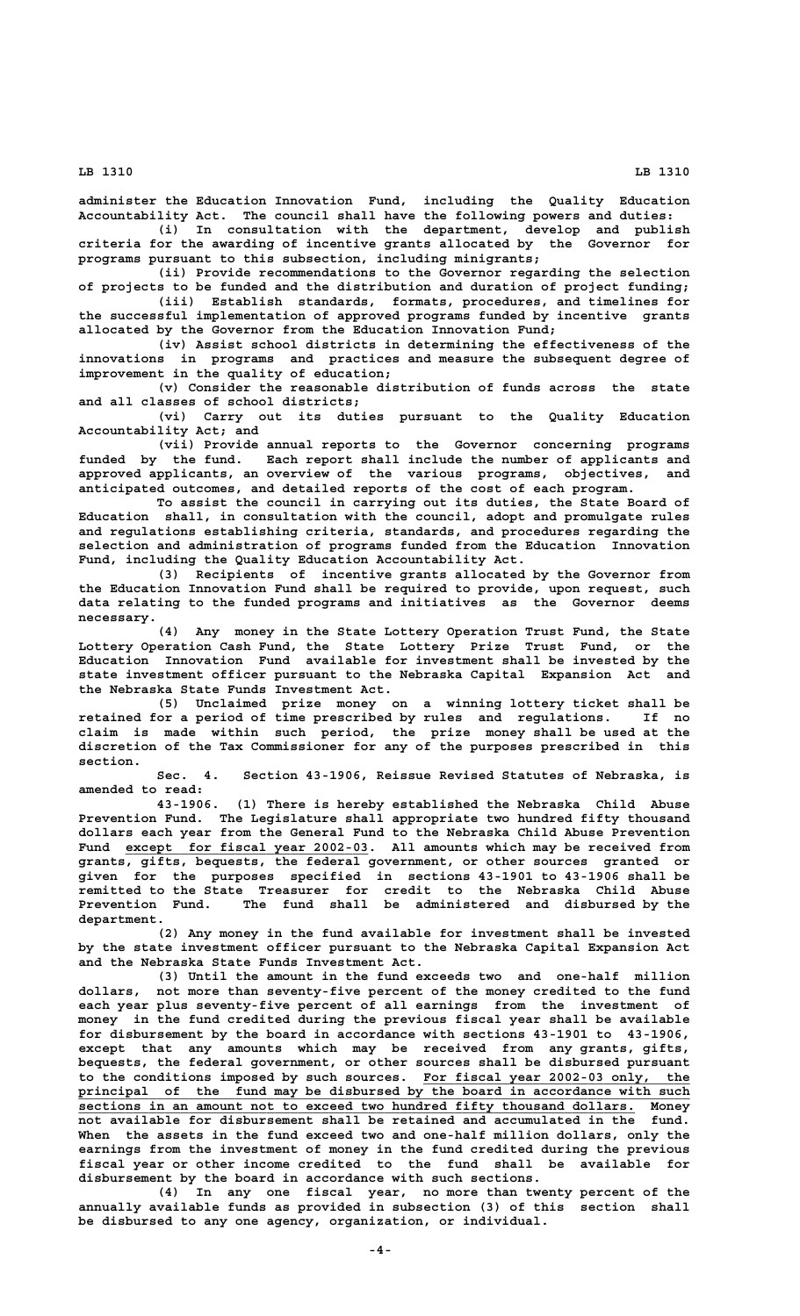**administer the Education Innovation Fund, including the Quality Education Accountability Act. The council shall have the following powers and duties:**

**(i) In consultation with the department, develop and publish criteria for the awarding of incentive grants allocated by the Governor for programs pursuant to this subsection, including minigrants;**

**(ii) Provide recommendations to the Governor regarding the selection of projects to be funded and the distribution and duration of project funding;**

**(iii) Establish standards, formats, procedures, and timelines for the successful implementation of approved programs funded by incentive grants allocated by the Governor from the Education Innovation Fund;**

**(iv) Assist school districts in determining the effectiveness of the innovations in programs and practices and measure the subsequent degree of improvement in the quality of education;**

**(v) Consider the reasonable distribution of funds across the state and all classes of school districts;**

**(vi) Carry out its duties pursuant to the Quality Education Accountability Act; and**

**(vii) Provide annual reports to the Governor concerning programs funded by the fund. Each report shall include the number of applicants and approved applicants, an overview of the various programs, objectives, and anticipated outcomes, and detailed reports of the cost of each program.**

**To assist the council in carrying out its duties, the State Board of Education shall, in consultation with the council, adopt and promulgate rules and regulations establishing criteria, standards, and procedures regarding the selection and administration of programs funded from the Education Innovation Fund, including the Quality Education Accountability Act.**

**(3) Recipients of incentive grants allocated by the Governor from the Education Innovation Fund shall be required to provide, upon request, such data relating to the funded programs and initiatives as the Governor deems necessary.**

**(4) Any money in the State Lottery Operation Trust Fund, the State Lottery Operation Cash Fund, the State Lottery Prize Trust Fund, or the Education Innovation Fund available for investment shall be invested by the state investment officer pursuant to the Nebraska Capital Expansion Act and the Nebraska State Funds Investment Act.**

**(5) Unclaimed prize money on a winning lottery ticket shall be retained for a period of time prescribed by rules and regulations. If no claim is made within such period, the prize money shall be used at the discretion of the Tax Commissioner for any of the purposes prescribed in this section.**

**Sec. 4. Section 43-1906, Reissue Revised Statutes of Nebraska, is amended to read:**

**43-1906. (1) There is hereby established the Nebraska Child Abuse Prevention Fund. The Legislature shall appropriate two hundred fifty thousand dollars each year from the General Fund to the Nebraska Child Abuse Prevention** Fund except for fiscal year 2002-03. All amounts which may be received from **grants, gifts, bequests, the federal government, or other sources granted or given for the purposes specified in sections 43-1901 to 43-1906 shall be remitted to the State Treasurer for credit to the Nebraska Child Abuse Prevention Fund. The fund shall be administered and disbursed by the** Prevention Fund.<br>department.

**(2) Any money in the fund available for investment shall be invested by the state investment officer pursuant to the Nebraska Capital Expansion Act and the Nebraska State Funds Investment Act.**

**(3) Until the amount in the fund exceeds two and one-half million dollars, not more than seventy-five percent of the money credited to the fund each year plus seventy-five percent of all earnings from the investment of money in the fund credited during the previous fiscal year shall be available for disbursement by the board in accordance with sections 43-1901 to 43-1906, except that any amounts which may be received from any grants, gifts, bequests, the federal government, or other sources shall be disbursed pursuant \_\_\_\_\_\_\_\_\_\_\_\_\_\_\_\_\_\_\_\_\_\_\_\_\_\_\_\_\_\_\_\_\_\_ to the conditions imposed by such sources. For fiscal year 2002-03 only, the** principal of the fund may be disbursed by the board in accordance with such  **\_\_\_\_\_\_\_\_\_\_\_\_\_\_\_\_\_\_\_\_\_\_\_\_\_\_\_\_\_\_\_\_\_\_\_\_\_\_\_\_\_\_\_\_\_\_\_\_\_\_\_\_\_\_\_\_\_\_\_\_\_\_\_\_\_\_\_\_\_\_\_ sections in an amount not to exceed two hundred fifty thousand dollars. Money not available for disbursement shall be retained and accumulated in the fund. When the assets in the fund exceed two and one-half million dollars, only the earnings from the investment of money in the fund credited during the previous fiscal year or other income credited to the fund shall be available for disbursement by the board in accordance with such sections.**

> **(4) In any one fiscal year, no more than twenty percent of the annually available funds as provided in subsection (3) of this section shall be disbursed to any one agency, organization, or individual.**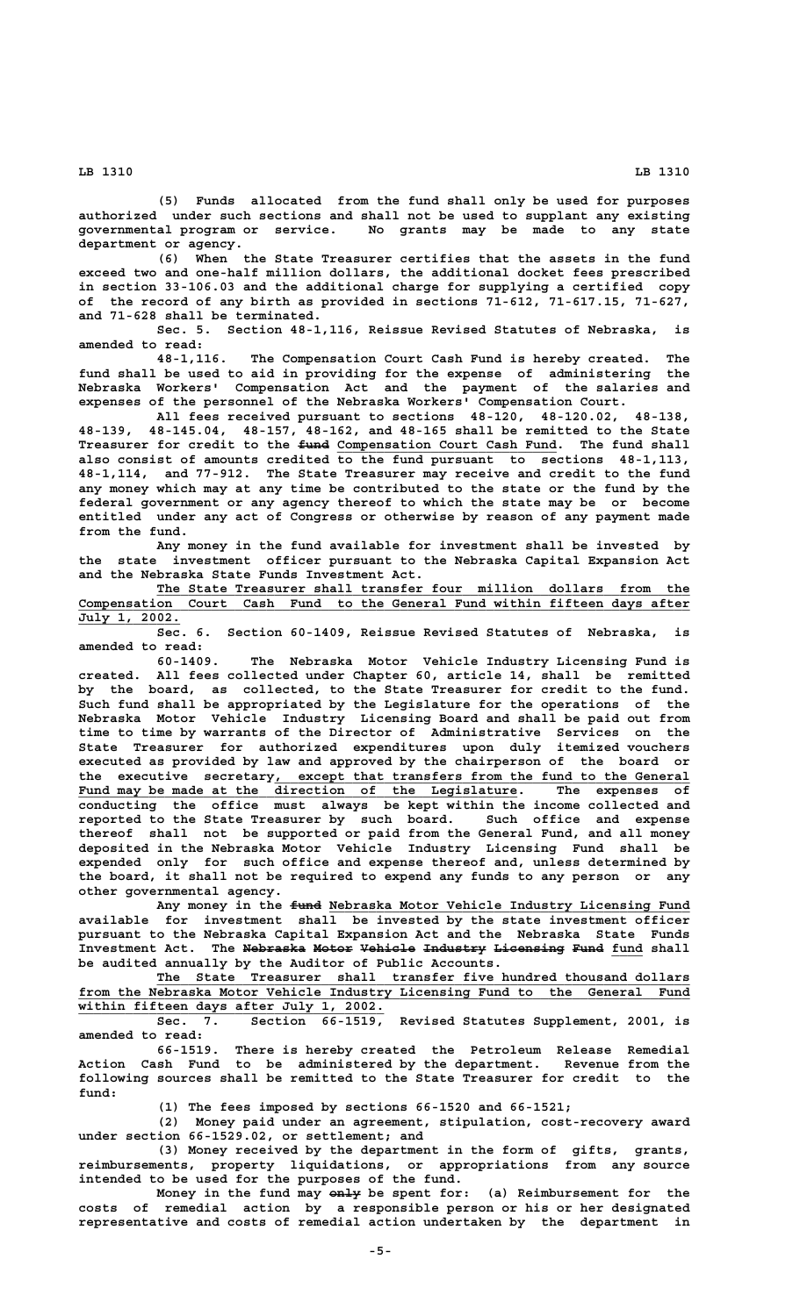**(5) Funds allocated from the fund shall only be used for purposes authorized under such sections and shall not be used to supplant any existing governmental program or service. No grants may be made to any state department or agency.**

**(6) When the State Treasurer certifies that the assets in the fund exceed two and one-half million dollars, the additional docket fees prescribed in section 33-106.03 and the additional charge for supplying a certified copy of the record of any birth as provided in sections 71-612, 71-617.15, 71-627, and 71-628 shall be terminated.**

**Sec. 5. Section 48-1,116, Reissue Revised Statutes of Nebraska, is amended to read:**

**48-1,116. The Compensation Court Cash Fund is hereby created. The fund shall be used to aid in providing for the expense of administering the Nebraska Workers' Compensation Act and the payment of the salaries and expenses of the personnel of the Nebraska Workers' Compensation Court.**

**All fees received pursuant to sections 48-120, 48-120.02, 48-138, 48-139, 48-145.04, 48-157, 48-162, and 48-165 shall be remitted to the State ———— \_\_\_\_\_\_\_\_\_\_\_\_\_\_\_\_\_\_\_\_\_\_\_\_\_\_\_\_ Treasurer for credit to the fund Compensation Court Cash Fund. The fund shall also consist of amounts credited to the fund pursuant to sections 48-1,113, 48-1,114, and 77-912. The State Treasurer may receive and credit to the fund any money which may at any time be contributed to the state or the fund by the federal government or any agency thereof to which the state may be or become entitled under any act of Congress or otherwise by reason of any payment made from the fund.**

**Any money in the fund available for investment shall be invested by the state investment officer pursuant to the Nebraska Capital Expansion Act and the Nebraska State Funds Investment Act.**

 **\_\_\_\_\_\_\_\_\_\_\_\_\_\_\_\_\_\_\_\_\_\_\_\_\_\_\_\_\_\_\_\_\_\_\_\_\_\_\_\_\_\_\_\_\_\_\_\_\_\_\_\_\_\_\_\_\_\_\_\_\_\_\_\_\_\_\_\_ The State Treasurer shall transfer four million dollars from the \_\_\_\_\_\_\_\_\_\_\_\_\_\_\_\_\_\_\_\_\_\_\_\_\_\_\_\_\_\_\_\_\_\_\_\_\_\_\_\_\_\_\_\_\_\_\_\_\_\_\_\_\_\_\_\_\_\_\_\_\_\_\_\_\_\_\_\_\_\_\_\_\_\_\_\_\_\_ Compensation Court Cash Fund to the General Fund within fifteen days after \_\_\_\_\_\_\_\_\_\_\_\_\_ July 1, 2002.**

**Sec. 6. Section 60-1409, Reissue Revised Statutes of Nebraska, is amended to read:**

**60-1409. The Nebraska Motor Vehicle Industry Licensing Fund is created. All fees collected under Chapter 60, article 14, shall be remitted by the board, as collected, to the State Treasurer for credit to the fund. Such fund shall be appropriated by the Legislature for the operations of the Nebraska Motor Vehicle Industry Licensing Board and shall be paid out from time to time by warrants of the Director of Administrative Services on the State Treasurer for authorized expenditures upon duly itemized vouchers executed as provided by law and approved by the chairperson of the board or \_\_\_\_\_\_\_\_\_\_\_\_\_\_\_\_\_\_\_\_\_\_\_\_\_\_\_\_\_\_\_\_\_\_\_\_\_\_\_\_\_\_\_\_\_\_\_\_\_\_\_\_\_ the executive secretary, except that transfers from the fund to the General \_\_\_\_\_\_\_\_\_\_\_\_\_\_\_\_\_\_\_\_\_\_\_\_\_\_\_\_\_\_\_\_\_\_\_\_\_\_\_\_\_\_\_\_\_\_\_\_\_\_\_\_\_\_\_\_ Fund may be made at the direction of the Legislature. The expenses of conducting the office must always be kept within the income collected and reported to the State Treasurer by such board. Such office and expense thereof shall not be supported or paid from the General Fund, and all money deposited in the Nebraska Motor Vehicle Industry Licensing Fund shall be expended only for such office and expense thereof and, unless determined by the board, it shall not be required to expend any funds to any person or any other governmental agency.**

 **———— \_\_\_\_\_\_\_\_\_\_\_\_\_\_\_\_\_\_\_\_\_\_\_\_\_\_\_\_\_\_\_\_\_\_\_\_\_\_\_\_\_\_\_\_\_\_ Any money in the fund Nebraska Motor Vehicle Industry Licensing Fund available for investment shall be invested by the state investment officer pursuant to the Nebraska Capital Expansion Act and the Nebraska State Funds** Investment Act. The Nebraska Motor Vehicle Industry Licensing Fund fund shall **be audited annually by the Auditor of Public Accounts.**

 **\_\_\_\_\_\_\_\_\_\_\_\_\_\_\_\_\_\_\_\_\_\_\_\_\_\_\_\_\_\_\_\_\_\_\_\_\_\_\_\_\_\_\_\_\_\_\_\_\_\_\_\_\_\_\_\_\_\_\_\_\_\_\_\_\_\_\_\_ The State Treasurer shall transfer five hundred thousand dollars \_\_\_\_\_\_\_\_\_\_\_\_\_\_\_\_\_\_\_\_\_\_\_\_\_\_\_\_\_\_\_\_\_\_\_\_\_\_\_\_\_\_\_\_\_\_\_\_\_\_\_\_\_\_\_\_\_\_\_\_\_\_\_\_\_\_\_\_\_\_\_\_\_\_\_\_\_\_ from the Nebraska Motor Vehicle Industry Licensing Fund to the General Fund \_\_\_\_\_\_\_\_\_\_\_\_\_\_\_\_\_\_\_\_\_\_\_\_\_\_\_\_\_\_\_\_\_\_\_\_\_\_\_ within fifteen days after July 1, 2002.**

**Sec. 7. Section 66-1519, Revised Statutes Supplement, 2001, is amended to read:**

**66-1519. There is hereby created the Petroleum Release Remedial Action Cash Fund to be administered by the department. Revenue from the following sources shall be remitted to the State Treasurer for credit to the fund:**

**(1) The fees imposed by sections 66-1520 and 66-1521;**

**(2) Money paid under an agreement, stipulation, cost-recovery award under section 66-1529.02, or settlement; and**

**(3) Money received by the department in the form of gifts, grants, reimbursements, property liquidations, or appropriations from any source intended to be used for the purposes of the fund.**

 **———— Money in the fund may only be spent for: (a) Reimbursement for the costs of remedial action by a responsible person or his or her designated representative and costs of remedial action undertaken by the department in**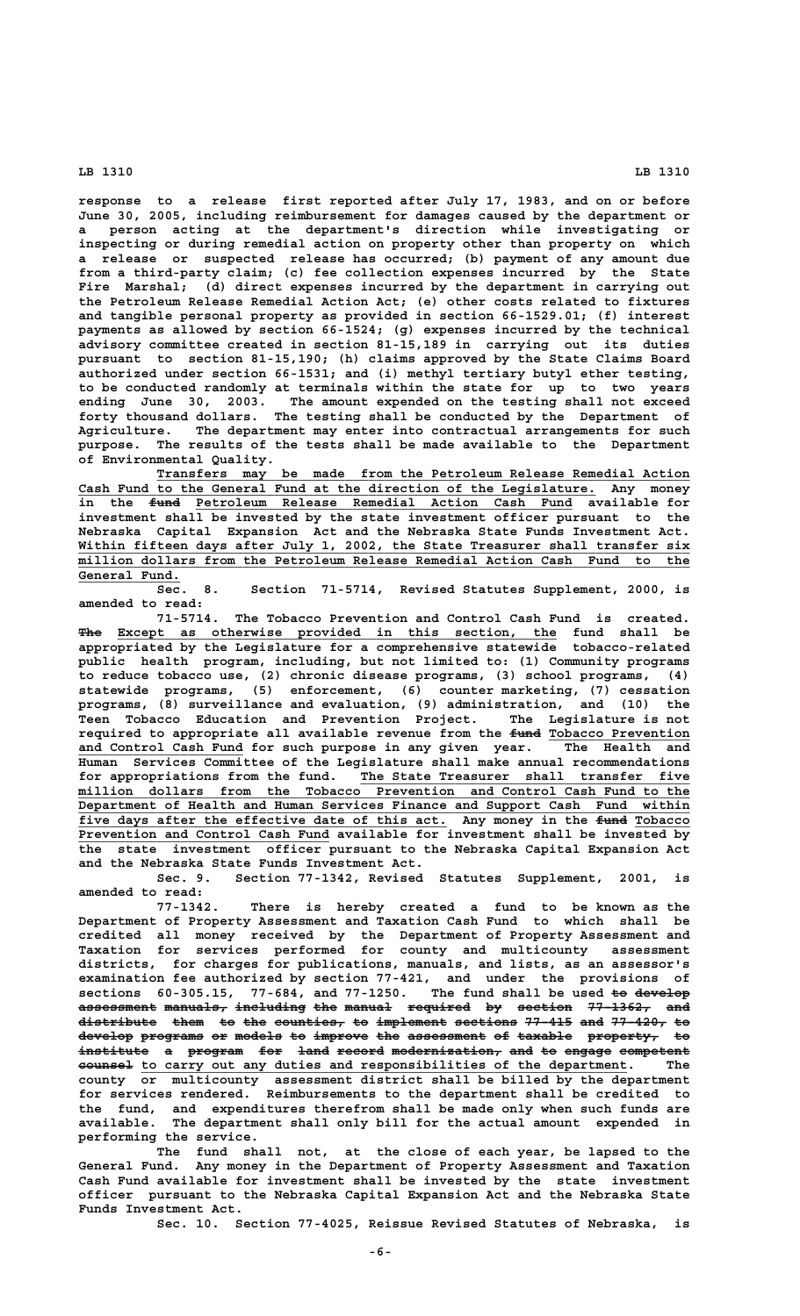**response to a release first reported after July 17, 1983, and on or before June 30, 2005, including reimbursement for damages caused by the department or a person acting at the department's direction while investigating or inspecting or during remedial action on property other than property on which a release or suspected release has occurred; (b) payment of any amount due from a third-party claim; (c) fee collection expenses incurred by the State Fire Marshal; (d) direct expenses incurred by the department in carrying out the Petroleum Release Remedial Action Act; (e) other costs related to fixtures and tangible personal property as provided in section 66-1529.01; (f) interest payments as allowed by section 66-1524; (g) expenses incurred by the technical advisory committee created in section 81-15,189 in carrying out its duties pursuant to section 81-15,190; (h) claims approved by the State Claims Board authorized under section 66-1531; and (i) methyl tertiary butyl ether testing, to be conducted randomly at terminals within the state for up to two years ending June 30, 2003. The amount expended on the testing shall not exceed forty thousand dollars. The testing shall be conducted by the Department of Agriculture. The department may enter into contractual arrangements for such purpose. The results of the tests shall be made available to the Department of Environmental Quality.**

 **\_\_\_\_\_\_\_\_\_\_\_\_\_\_\_\_\_\_\_\_\_\_\_\_\_\_\_\_\_\_\_\_\_\_\_\_\_\_\_\_\_\_\_\_\_\_\_\_\_\_\_\_\_\_\_\_\_\_\_\_\_\_\_\_\_\_\_\_ Transfers may be made from the Petroleum Release Remedial Action \_\_\_\_\_\_\_\_\_\_\_\_\_\_\_\_\_\_\_\_\_\_\_\_\_\_\_\_\_\_\_\_\_\_\_\_\_\_\_\_\_\_\_\_\_\_\_\_\_\_\_\_\_\_\_\_\_\_\_\_\_\_\_\_\_\_ Cash Fund to the General Fund at the direction of the Legislature. Any money** in the <del>fund</del> Petroleum Release Remedial Action Cash Fund available for **investment shall be invested by the state investment officer pursuant to the Nebraska Capital Expansion Act and the Nebraska State Funds Investment Act.** Within fifteen days after July 1, 2002, the State Treasurer shall transfer six  **\_\_\_\_\_\_\_\_\_\_\_\_\_\_\_\_\_\_\_\_\_\_\_\_\_\_\_\_\_\_\_\_\_\_\_\_\_\_\_\_\_\_\_\_\_\_\_\_\_\_\_\_\_\_\_\_\_\_\_\_\_\_\_\_\_\_\_\_\_\_\_\_\_\_\_\_\_\_ million dollars from the Petroleum Release Remedial Action Cash Fund to the** General Fund.

**Sec. 8. Section 71-5714, Revised Statutes Supplement, 2000, is amended to read:**

**71-5714. The Tobacco Prevention and Control Cash Fund is created. ——— \_\_\_\_\_\_\_\_\_\_\_\_\_\_\_\_\_\_\_\_\_\_\_\_\_\_\_\_\_\_\_\_\_\_\_\_\_\_\_\_\_\_\_\_\_\_\_\_\_\_\_\_\_\_\_\_ The Except as otherwise provided in this section, the fund shall be appropriated by the Legislature for a comprehensive statewide tobacco-related public health program, including, but not limited to: (1) Community programs to reduce tobacco use, (2) chronic disease programs, (3) school programs, (4) statewide programs, (5) enforcement, (6) counter marketing, (7) cessation programs, (8) surveillance and evaluation, (9) administration, and (10) the Teen Tobacco Education and Prevention Project. The Legislature is not** required to appropriate all available revenue from the  $\text{\textsterling}$ und Tobacco Prevention  **\_\_\_\_\_\_\_\_\_\_\_\_\_\_\_\_\_\_\_\_\_ and Control Cash Fund for such purpose in any given year. The Health and Human Services Committee of the Legislature shall make annual recommendations \_\_\_\_\_\_\_\_\_\_\_\_\_\_\_\_\_\_\_\_\_\_\_\_\_\_\_\_\_\_\_\_\_\_\_\_\_\_\_\_\_\_ for appropriations from the fund. The State Treasurer shall transfer five**  $min$  dollars from the Tobacco Prevention and Control Cash Fund to the  $Department$  of Health and Human Services Finance and Support Cash Fund within five days after the effective date of this act. Any money in the fund Tobacco  **\_\_\_\_\_\_\_\_\_\_\_\_\_\_\_\_\_\_\_\_\_\_\_\_\_\_\_\_\_\_\_\_ Prevention and Control Cash Fund available for investment shall be invested by the state investment officer pursuant to the Nebraska Capital Expansion Act and the Nebraska State Funds Investment Act.**

**Sec. 9. Section 77-1342, Revised Statutes Supplement, 2001, is amended to read:**

**77-1342. There is hereby created a fund to be known as the Department of Property Assessment and Taxation Cash Fund to which shall be credited all money received by the Department of Property Assessment and Taxation for services performed for county and multicounty assessment districts, for charges for publications, manuals, and lists, as an assessor's examination fee authorized by section 77-421, and under the provisions of** sections 60-305.15, 77-684, and 77-1250. The fund shall be used <del>to develop</del> **assessment manuals, including the manual required by section 77-1362, and —————————— ———————— ————————— ——— —————— ———————— —— ——————— ———————— —— distribute them to the counties, to implement sections 77-415 and 77-420, to —————————— ———— —— ——— ————————— —— ————————— ———————— —————— ——— ——————— —** develop programs or models to improve the assessment of taxable property, to institute a program for land record modernization, and to engage competent  $\bullet$ **eximesl** to carry out any duties and responsibilities of the department. The **county or multicounty assessment district shall be billed by the department for services rendered. Reimbursements to the department shall be credited to the fund, and expenditures therefrom shall be made only when such funds are available. The department shall only bill for the actual amount expended in performing the service.**

**The fund shall not, at the close of each year, be lapsed to the General Fund. Any money in the Department of Property Assessment and Taxation Cash Fund available for investment shall be invested by the state investment officer pursuant to the Nebraska Capital Expansion Act and the Nebraska State Funds Investment Act.**

**Sec. 10. Section 77-4025, Reissue Revised Statutes of Nebraska, is**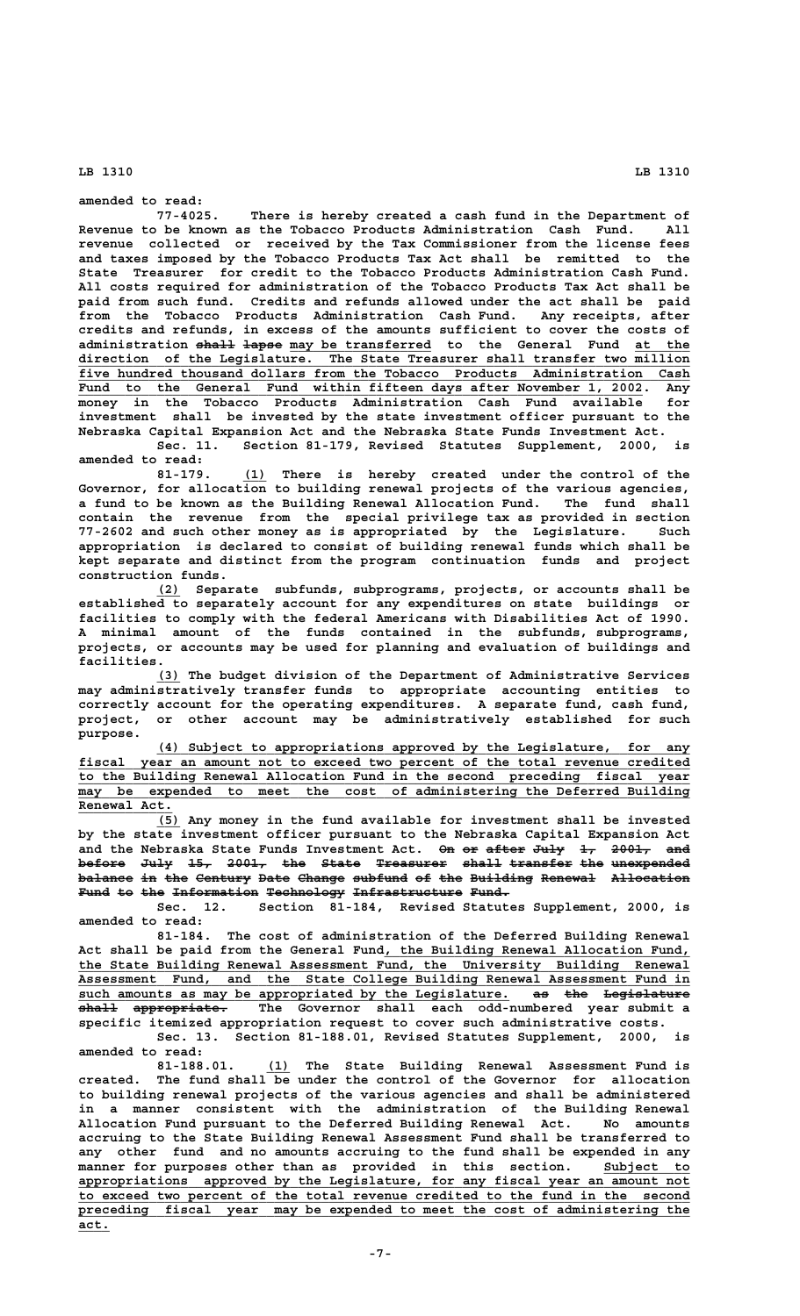**amended to read:**

**77-4025. There is hereby created a cash fund in the Department of Revenue to be known as the Tobacco Products Administration Cash Fund. All revenue collected or received by the Tax Commissioner from the license fees and taxes imposed by the Tobacco Products Tax Act shall be remitted to the State Treasurer for credit to the Tobacco Products Administration Cash Fund. All costs required for administration of the Tobacco Products Tax Act shall be paid from such fund. Credits and refunds allowed under the act shall be paid from the Tobacco Products Administration Cash Fund. Any receipts, after credits and refunds, in excess of the amounts sufficient to cover the costs of** administration <del>shall</del> <del>lapse</del> may be transferred to the General Fund at the  **\_\_\_\_\_\_\_\_\_\_\_\_\_\_\_\_\_\_\_\_\_\_\_\_\_\_\_\_\_\_\_\_\_\_\_\_\_\_\_\_\_\_\_\_\_\_\_\_\_\_\_\_\_\_\_\_\_\_\_\_\_\_\_\_\_\_\_\_\_\_\_\_\_\_\_\_\_\_ direction of the Legislature. The State Treasurer shall transfer two million** five hundred thousand dollars from the Tobacco Products Administration Cash  **\_\_\_\_\_\_\_\_\_\_\_\_\_\_\_\_\_\_\_\_\_\_\_\_\_\_\_\_\_\_\_\_\_\_\_\_\_\_\_\_\_\_\_\_\_\_\_\_\_\_\_\_\_\_\_\_\_\_\_\_\_\_\_\_\_\_\_\_\_\_\_\_ Fund to the General Fund within fifteen days after November 1, 2002. Any money in the Tobacco Products Administration Cash Fund available for investment shall be invested by the state investment officer pursuant to the Nebraska Capital Expansion Act and the Nebraska State Funds Investment Act. Sec. 11. Section 81-179, Revised Statutes Supplement, 2000, is**

**amended to read:**

 **\_\_\_ 81-179. (1) There is hereby created under the control of the Governor, for allocation to building renewal projects of the various agencies, a fund to be known as the Building Renewal Allocation Fund. The fund shall contain the revenue from the special privilege tax as provided in section 77-2602 and such other money as is appropriated by the Legislature. Such appropriation is declared to consist of building renewal funds which shall be kept separate and distinct from the program continuation funds and project construction funds.**

> **\_\_\_ (2) Separate subfunds, subprograms, projects, or accounts shall be established to separately account for any expenditures on state buildings or facilities to comply with the federal Americans with Disabilities Act of 1990. A minimal amount of the funds contained in the subfunds, subprograms, projects, or accounts may be used for planning and evaluation of buildings and facilities.**

> **\_\_\_ (3) The budget division of the Department of Administrative Services may administratively transfer funds to appropriate accounting entities to correctly account for the operating expenditures. A separate fund, cash fund, project, or other account may be administratively established for such purpose.**

 **\_\_\_\_\_\_\_\_\_\_\_\_\_\_\_\_\_\_\_\_\_\_\_\_\_\_\_\_\_\_\_\_\_\_\_\_\_\_\_\_\_\_\_\_\_\_\_\_\_\_\_\_\_\_\_\_\_\_\_\_\_\_\_\_\_\_\_\_ (4) Subject to appropriations approved by the Legislature, for any \_\_\_\_\_\_\_\_\_\_\_\_\_\_\_\_\_\_\_\_\_\_\_\_\_\_\_\_\_\_\_\_\_\_\_\_\_\_\_\_\_\_\_\_\_\_\_\_\_\_\_\_\_\_\_\_\_\_\_\_\_\_\_\_\_\_\_\_\_\_\_\_\_\_\_\_\_\_ fiscal year an amount not to exceed two percent of the total revenue credited \_\_\_\_\_\_\_\_\_\_\_\_\_\_\_\_\_\_\_\_\_\_\_\_\_\_\_\_\_\_\_\_\_\_\_\_\_\_\_\_\_\_\_\_\_\_\_\_\_\_\_\_\_\_\_\_\_\_\_\_\_\_\_\_\_\_\_\_\_\_\_\_\_\_\_\_\_\_ to the Building Renewal Allocation Fund in the second preceding fiscal year**  $\overline{may}$  be expended to meet the cost of administering the Deferred Building  **Renewal Act. \_\_\_\_\_\_\_\_\_\_\_\_**

> **\_\_\_ (5) Any money in the fund available for investment shall be invested by the state investment officer pursuant to the Nebraska Capital Expansion Act** and the Nebraska State Funds Investment Act. On or after July 1, 2001, and before July 15, 2001, the State Treasurer shall transfer the unexpended balance in the Century Date Change subfund of the Building Renewal Allocation Fund to the Information Technology Infrastructure Fund.

> **Sec. 12. Section 81-184, Revised Statutes Supplement, 2000, is amended to read:**

**81-184. The cost of administration of the Deferred Building Renewal \_\_\_\_\_\_\_\_\_\_\_\_\_\_\_\_\_\_\_\_\_\_\_\_\_\_\_\_\_\_\_\_\_\_\_\_\_\_\_ Act shall be paid from the General Fund, the Building Renewal Allocation Fund, \_\_\_\_\_\_\_\_\_\_\_\_\_\_\_\_\_\_\_\_\_\_\_\_\_\_\_\_\_\_\_\_\_\_\_\_\_\_\_\_\_\_\_\_\_\_\_\_\_\_\_\_\_\_\_\_\_\_\_\_\_\_\_\_\_\_\_\_\_\_\_\_\_\_\_\_\_\_ the State Building Renewal Assessment Fund, the University Building Renewal \_\_\_\_\_\_\_\_\_\_\_\_\_\_\_\_\_\_\_\_\_\_\_\_\_\_\_\_\_\_\_\_\_\_\_\_\_\_\_\_\_\_\_\_\_\_\_\_\_\_\_\_\_\_\_\_\_\_\_\_\_\_\_\_\_\_\_\_\_\_\_\_\_\_\_\_\_\_ Assessment Fund, and the State College Building Renewal Assessment Fund in** such amounts as may be appropriated by the Legislature. as the Legislature  **————— ———————————— shall appropriate. The Governor shall each odd-numbered year submit a specific itemized appropriation request to cover such administrative costs. Sec. 13. Section 81-188.01, Revised Statutes Supplement, 2000, is**

**amended to read:**

 **\_\_\_ 81-188.01. (1) The State Building Renewal Assessment Fund is created. The fund shall be under the control of the Governor for allocation to building renewal projects of the various agencies and shall be administered in a manner consistent with the administration of the Building Renewal Allocation Fund pursuant to the Deferred Building Renewal Act. No amounts accruing to the State Building Renewal Assessment Fund shall be transferred to any other fund and no amounts accruing to the fund shall be expended in any manner for purposes other than as provided in this section. Subject to \_\_\_\_\_\_\_\_\_\_\_ \_\_\_\_\_\_\_\_\_\_\_\_\_\_\_\_\_\_\_\_\_\_\_\_\_\_\_\_\_\_\_\_\_\_\_\_\_\_\_\_\_\_\_\_\_\_\_\_\_\_\_\_\_\_\_\_\_\_\_\_\_\_\_\_\_\_\_\_\_\_\_\_\_\_\_\_\_\_ appropriations approved by the Legislature, for any fiscal year an amount not \_\_\_\_\_\_\_\_\_\_\_\_\_\_\_\_\_\_\_\_\_\_\_\_\_\_\_\_\_\_\_\_\_\_\_\_\_\_\_\_\_\_\_\_\_\_\_\_\_\_\_\_\_\_\_\_\_\_\_\_\_\_\_\_\_\_\_\_\_\_\_\_\_\_\_\_\_\_ to exceed two percent of the total revenue credited to the fund in the second** preceding fiscal year may be expended to meet the cost of administering the  **act.\_\_\_\_**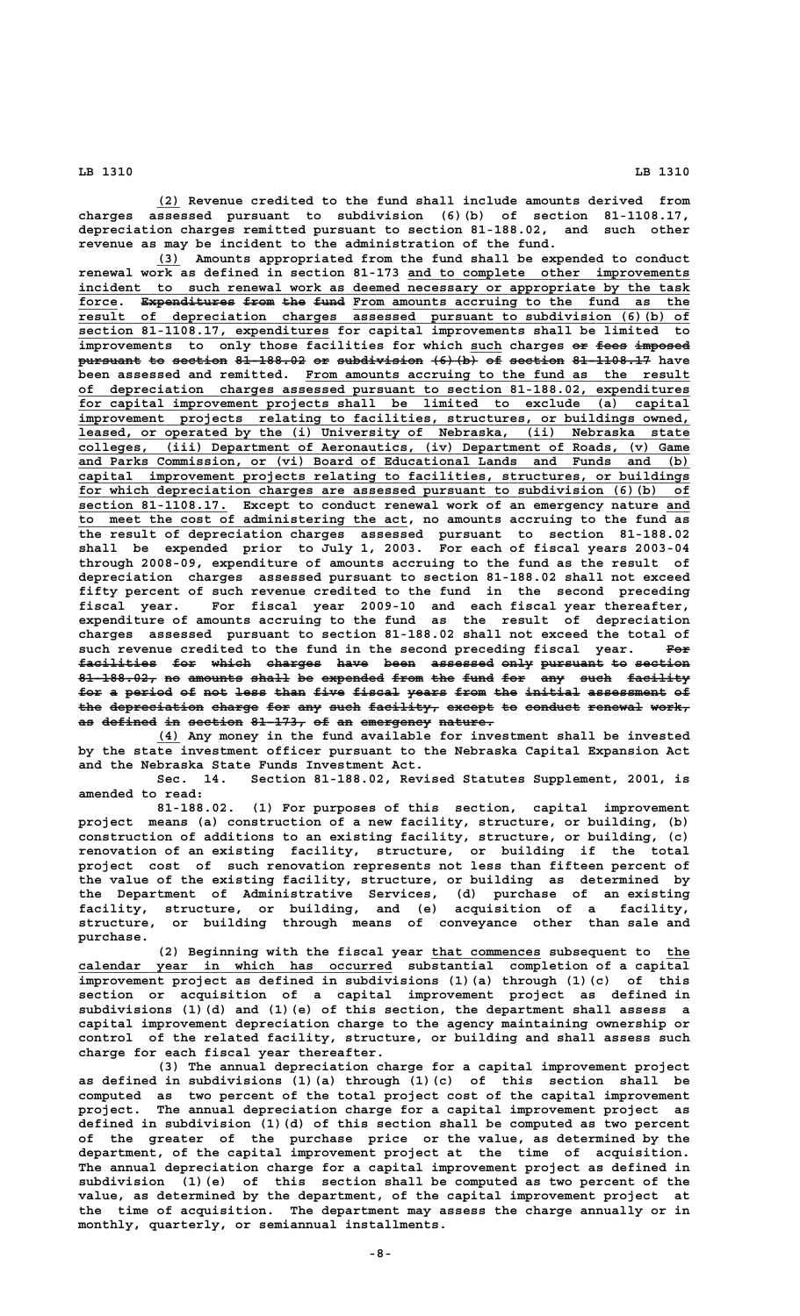**\_\_\_ (2) Revenue credited to the fund shall include amounts derived from charges assessed pursuant to subdivision (6)(b) of section 81-1108.17, depreciation charges remitted pursuant to section 81-188.02, and such other revenue as may be incident to the administration of the fund.**

 **\_\_\_ (3) Amounts appropriated from the fund shall be expended to conduct** renewal work as defined in section 81-173 <u>and to complete other improvements</u>  **\_\_\_\_\_\_\_\_\_\_\_\_\_\_\_\_\_\_\_\_\_\_\_\_\_\_\_\_\_\_\_\_\_\_\_\_\_\_\_\_\_\_\_\_\_\_\_\_\_\_\_\_\_\_\_\_\_\_\_\_\_\_\_\_\_\_\_\_\_\_\_\_\_\_\_\_\_\_ incident to such renewal work as deemed necessary or appropriate by the task** force. Expenditures from the fund From amounts accruing to the fund as the  **\_\_\_\_\_\_\_\_\_\_\_\_\_\_\_\_\_\_\_\_\_\_\_\_\_\_\_\_\_\_\_\_\_\_\_\_\_\_\_\_\_\_\_\_\_\_\_\_\_\_\_\_\_\_\_\_\_\_\_\_\_\_\_\_\_\_\_\_\_\_\_\_\_\_\_\_\_\_ result of depreciation charges assessed pursuant to subdivision (6)(b) of \_\_\_\_\_\_\_\_\_\_\_\_\_\_\_\_\_\_\_\_\_\_\_\_\_\_\_\_\_\_\_\_ section 81-1108.17, expenditures for capital improvements shall be limited to** improvements to only those facilities for which such charges or fees imposed **pursuant to section 81-188.02 or subdivision (6) (b) of section 81-1108.17** have been assessed and remitted. From amounts accruing to the fund as the result  **\_\_\_\_\_\_\_\_\_\_\_\_\_\_\_\_\_\_\_\_\_\_\_\_\_\_\_\_\_\_\_\_\_\_\_\_\_\_\_\_\_\_\_\_\_\_\_\_\_\_\_\_\_\_\_\_\_\_\_\_\_\_\_\_\_\_\_\_\_\_\_\_\_\_\_\_\_\_ of depreciation charges assessed pursuant to section 81-188.02, expenditures \_\_\_\_\_\_\_\_\_\_\_\_\_\_\_\_\_\_\_\_\_\_\_\_\_\_\_\_\_\_\_\_\_\_\_\_\_\_\_\_\_\_\_\_\_\_\_\_\_\_\_\_\_\_\_\_\_\_\_\_\_\_\_\_\_\_\_\_\_\_\_\_\_\_\_\_\_\_ for capital improvement projects shall be limited to exclude (a) capital \_\_\_\_\_\_\_\_\_\_\_\_\_\_\_\_\_\_\_\_\_\_\_\_\_\_\_\_\_\_\_\_\_\_\_\_\_\_\_\_\_\_\_\_\_\_\_\_\_\_\_\_\_\_\_\_\_\_\_\_\_\_\_\_\_\_\_\_\_\_\_\_\_\_\_\_\_\_ improvement projects relating to facilities, structures, or buildings owned, \_\_\_\_\_\_\_\_\_\_\_\_\_\_\_\_\_\_\_\_\_\_\_\_\_\_\_\_\_\_\_\_\_\_\_\_\_\_\_\_\_\_\_\_\_\_\_\_\_\_\_\_\_\_\_\_\_\_\_\_\_\_\_\_\_\_\_\_\_\_\_\_\_\_\_\_\_\_ leased, or operated by the (i) University of Nebraska, (ii) Nebraska state \_\_\_\_\_\_\_\_\_\_\_\_\_\_\_\_\_\_\_\_\_\_\_\_\_\_\_\_\_\_\_\_\_\_\_\_\_\_\_\_\_\_\_\_\_\_\_\_\_\_\_\_\_\_\_\_\_\_\_\_\_\_\_\_\_\_\_\_\_\_\_\_\_\_\_\_\_\_ colleges, (iii) Department of Aeronautics, (iv) Department of Roads, (v) Game \_\_\_\_\_\_\_\_\_\_\_\_\_\_\_\_\_\_\_\_\_\_\_\_\_\_\_\_\_\_\_\_\_\_\_\_\_\_\_\_\_\_\_\_\_\_\_\_\_\_\_\_\_\_\_\_\_\_\_\_\_\_\_\_\_\_\_\_\_\_\_\_\_\_\_\_\_\_ and Parks Commission, or (vi) Board of Educational Lands and Funds and (b) \_\_\_\_\_\_\_\_\_\_\_\_\_\_\_\_\_\_\_\_\_\_\_\_\_\_\_\_\_\_\_\_\_\_\_\_\_\_\_\_\_\_\_\_\_\_\_\_\_\_\_\_\_\_\_\_\_\_\_\_\_\_\_\_\_\_\_\_\_\_\_\_\_\_\_\_\_\_ capital improvement projects relating to facilities, structures, or buildings \_\_\_\_\_\_\_\_\_\_\_\_\_\_\_\_\_\_\_\_\_\_\_\_\_\_\_\_\_\_\_\_\_\_\_\_\_\_\_\_\_\_\_\_\_\_\_\_\_\_\_\_\_\_\_\_\_\_\_\_\_\_\_\_\_\_\_\_\_\_\_\_\_\_\_\_\_\_ for which depreciation charges are assessed pursuant to subdivision (6)(b) of** section 81-1108.17. Except to conduct renewal work of an emergency nature and to meet the cost of administering the act, no amounts accruing to the fund as **the result of depreciation charges assessed pursuant to section 81-188.02 shall be expended prior to July 1, 2003. For each of fiscal years 2003-04 through 2008-09, expenditure of amounts accruing to the fund as the result of depreciation charges assessed pursuant to section 81-188.02 shall not exceed fifty percent of such revenue credited to the fund in the second preceding fiscal year. For fiscal year 2009-10 and each fiscal year thereafter, expenditure of amounts accruing to the fund as the result of depreciation charges assessed pursuant to section 81-188.02 shall not exceed the total of** such revenue credited to the fund in the second preceding fiscal year. For facilities for which charges have been assessed only pursuant to section 81-188.02, no amounts shall be expended from the fund for any such facility for a period of not less than five fiscal years from the initial assessment of the depreciation charge for any such facility, except to conduct renewal work, as defined in section 81-173, of an emergency nature.

 **\_\_\_ (4) Any money in the fund available for investment shall be invested by the state investment officer pursuant to the Nebraska Capital Expansion Act and the Nebraska State Funds Investment Act.**

**Sec. 14. Section 81-188.02, Revised Statutes Supplement, 2001, is amended to read:**

**81-188.02. (1) For purposes of this section, capital improvement project means (a) construction of a new facility, structure, or building, (b) construction of additions to an existing facility, structure, or building, (c) renovation of an existing facility, structure, or building if the total project cost of such renovation represents not less than fifteen percent of the value of the existing facility, structure, or building as determined by the Department of Administrative Services, (d) purchase of an existing facility, structure, or building, and (e) acquisition of a facility, structure, or building through means of conveyance other than sale and purchase.**

(2) Beginning with the fiscal year that commences subsequent to the  **\_\_\_\_\_\_\_\_\_\_\_\_\_\_\_\_\_\_\_\_\_\_\_\_\_\_\_\_\_\_\_\_\_\_\_\_\_\_\_\_ calendar year in which has occurred substantial completion of a capital improvement project as defined in subdivisions (1)(a) through (1)(c) of this section or acquisition of a capital improvement project as defined in subdivisions (1)(d) and (1)(e) of this section, the department shall assess a capital improvement depreciation charge to the agency maintaining ownership or control of the related facility, structure, or building and shall assess such charge for each fiscal year thereafter.**

**(3) The annual depreciation charge for a capital improvement project as defined in subdivisions (1)(a) through (1)(c) of this section shall be computed as two percent of the total project cost of the capital improvement project. The annual depreciation charge for a capital improvement project as defined in subdivision (1)(d) of this section shall be computed as two percent of the greater of the purchase price or the value, as determined by the department, of the capital improvement project at the time of acquisition. The annual depreciation charge for a capital improvement project as defined in subdivision (1)(e) of this section shall be computed as two percent of the value, as determined by the department, of the capital improvement project at the time of acquisition. The department may assess the charge annually or in monthly, quarterly, or semiannual installments.**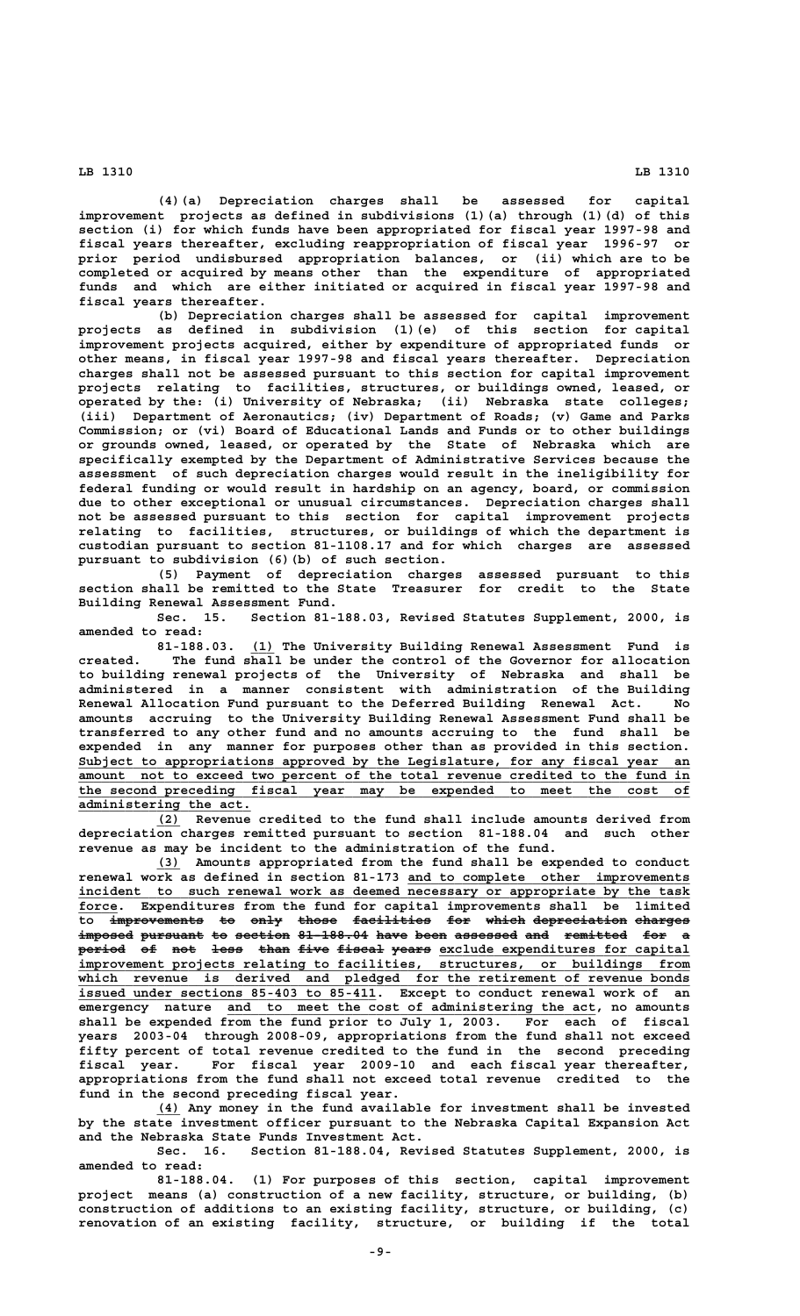**(4)(a) Depreciation charges shall be assessed for capital improvement projects as defined in subdivisions (1)(a) through (1)(d) of this section (i) for which funds have been appropriated for fiscal year 1997-98 and fiscal years thereafter, excluding reappropriation of fiscal year 1996-97 or prior period undisbursed appropriation balances, or (ii) which are to be completed or acquired by means other than the expenditure of appropriated funds and which are either initiated or acquired in fiscal year 1997-98 and fiscal years thereafter.**

**(b) Depreciation charges shall be assessed for capital improvement projects as defined in subdivision (1)(e) of this section for capital improvement projects acquired, either by expenditure of appropriated funds or other means, in fiscal year 1997-98 and fiscal years thereafter. Depreciation charges shall not be assessed pursuant to this section for capital improvement projects relating to facilities, structures, or buildings owned, leased, or operated by the: (i) University of Nebraska; (ii) Nebraska state colleges; (iii) Department of Aeronautics; (iv) Department of Roads; (v) Game and Parks Commission; or (vi) Board of Educational Lands and Funds or to other buildings or grounds owned, leased, or operated by the State of Nebraska which are specifically exempted by the Department of Administrative Services because the assessment of such depreciation charges would result in the ineligibility for federal funding or would result in hardship on an agency, board, or commission due to other exceptional or unusual circumstances. Depreciation charges shall not be assessed pursuant to this section for capital improvement projects relating to facilities, structures, or buildings of which the department is custodian pursuant to section 81-1108.17 and for which charges are assessed pursuant to subdivision (6)(b) of such section.**

**(5) Payment of depreciation charges assessed pursuant to this section shall be remitted to the State Treasurer for credit to the State Building Renewal Assessment Fund.**

**Sec. 15. Section 81-188.03, Revised Statutes Supplement, 2000, is amended to read:**

 **\_\_\_ 81-188.03. (1) The University Building Renewal Assessment Fund is created. The fund shall be under the control of the Governor for allocation to building renewal projects of the University of Nebraska and shall be administered in a manner consistent with administration of the Building Renewal Allocation Fund pursuant to the Deferred Building Renewal Act. No amounts accruing to the University Building Renewal Assessment Fund shall be transferred to any other fund and no amounts accruing to the fund shall be expended in any manner for purposes other than as provided in this section. \_\_\_\_\_\_\_\_\_\_\_\_\_\_\_\_\_\_\_\_\_\_\_\_\_\_\_\_\_\_\_\_\_\_\_\_\_\_\_\_\_\_\_\_\_\_\_\_\_\_\_\_\_\_\_\_\_\_\_\_\_\_\_\_\_\_\_\_\_\_\_\_\_\_\_\_\_\_ Subject to appropriations approved by the Legislature, for any fiscal year an \_\_\_\_\_\_\_\_\_\_\_\_\_\_\_\_\_\_\_\_\_\_\_\_\_\_\_\_\_\_\_\_\_\_\_\_\_\_\_\_\_\_\_\_\_\_\_\_\_\_\_\_\_\_\_\_\_\_\_\_\_\_\_\_\_\_\_\_\_\_\_\_\_\_\_\_\_\_ amount not to exceed two percent of the total revenue credited to the fund in \_\_\_\_\_\_\_\_\_\_\_\_\_\_\_\_\_\_\_\_\_\_\_\_\_\_\_\_\_\_\_\_\_\_\_\_\_\_\_\_\_\_\_\_\_\_\_\_\_\_\_\_\_\_\_\_\_\_\_\_\_\_\_\_\_\_\_\_\_\_\_\_\_\_\_\_\_\_ the second preceding fiscal year may be expended to meet the cost of \_\_\_\_\_\_\_\_\_\_\_\_\_\_\_\_\_\_\_\_\_\_ administering the act.**

 **\_\_\_ (2) Revenue credited to the fund shall include amounts derived from depreciation charges remitted pursuant to section 81-188.04 and such other revenue as may be incident to the administration of the fund.**

 **\_\_\_ (3) Amounts appropriated from the fund shall be expended to conduct \_\_\_\_\_\_\_\_\_\_\_\_\_\_\_\_\_\_\_\_\_\_\_\_\_\_\_\_\_\_\_\_\_\_\_\_ renewal work as defined in section 81-173 and to complete other improvements** incident to such renewal work as deemed necessary or appropriate by the task  **\_\_\_\_\_ force. Expenditures from the fund for capital improvements shall be limited** to improvements to only those facilities for which-depreciation-charges imposed pursuant to section 81-188.04 have been assessed and remitted for a period of not less than five fiscal years exclude expenditures for capital  **\_\_\_\_\_\_\_\_\_\_\_\_\_\_\_\_\_\_\_\_\_\_\_\_\_\_\_\_\_\_\_\_\_\_\_\_\_\_\_\_\_\_\_\_\_\_\_\_\_\_\_\_\_\_\_\_\_\_\_\_\_\_\_\_\_\_\_\_\_\_\_\_\_\_\_\_\_\_ improvement projects relating to facilities, structures, or buildings from \_\_\_\_\_\_\_\_\_\_\_\_\_\_\_\_\_\_\_\_\_\_\_\_\_\_\_\_\_\_\_\_\_\_\_\_\_\_\_\_\_\_\_\_\_\_\_\_\_\_\_\_\_\_\_\_\_\_\_\_\_\_\_\_\_\_\_\_\_\_\_\_\_\_\_\_\_\_ which revenue is derived and pledged for the retirement of revenue bonds \_\_\_\_\_\_\_\_\_\_\_\_\_\_\_\_\_\_\_\_\_\_\_\_\_\_\_\_\_\_\_\_\_\_\_\_\_\_ issued under sections 85-403 to 85-411. Except to conduct renewal work of an \_\_\_\_\_\_\_\_\_\_\_\_\_\_\_\_\_\_\_\_\_\_\_\_\_\_\_\_\_\_\_\_\_\_\_\_\_\_\_\_\_\_\_\_\_\_\_ emergency nature and to meet the cost of administering the act, no amounts shall be expended from the fund prior to July 1, 2003. For each of fiscal years 2003-04 through 2008-09, appropriations from the fund shall not exceed fifty percent of total revenue credited to the fund in the second preceding fiscal year. For fiscal year 2009-10 and each fiscal year thereafter, appropriations from the fund shall not exceed total revenue credited to the fund in the second preceding fiscal year.**

 **\_\_\_ (4) Any money in the fund available for investment shall be invested by the state investment officer pursuant to the Nebraska Capital Expansion Act and the Nebraska State Funds Investment Act.**

**Sec. 16. Section 81-188.04, Revised Statutes Supplement, 2000, is amended to read:**

**81-188.04. (1) For purposes of this section, capital improvement project means (a) construction of a new facility, structure, or building, (b) construction of additions to an existing facility, structure, or building, (c) renovation of an existing facility, structure, or building if the total**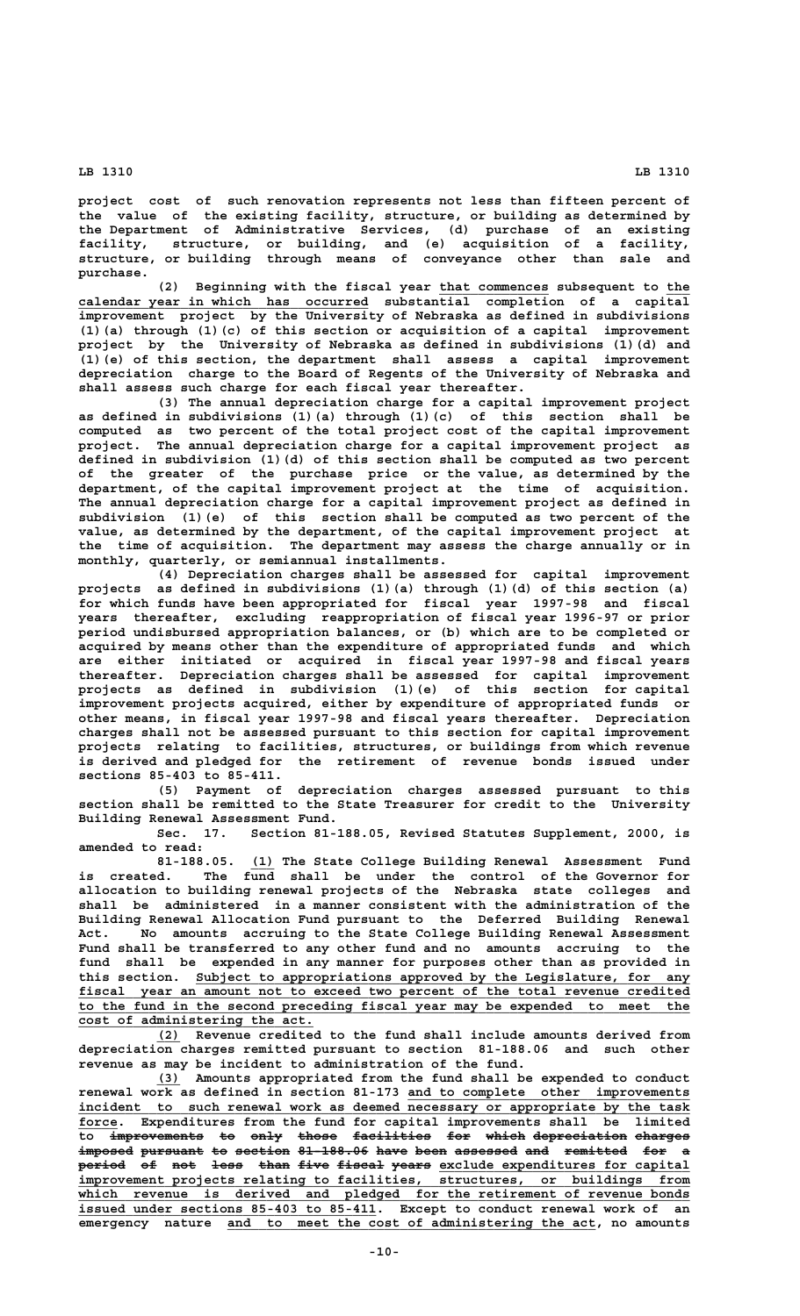**project cost of such renovation represents not less than fifteen percent of the value of the existing facility, structure, or building as determined by the Department of Administrative Services, (d) purchase of an existing facility, structure, or building, and (e) acquisition of a facility, structure, or building through means of conveyance other than sale and purchase.**

(2) Beginning with the fiscal year that commences subsequent to the  **\_\_\_\_\_\_\_\_\_\_\_\_\_\_\_\_\_\_\_\_\_\_\_\_\_\_\_\_\_\_\_\_\_\_\_\_\_ calendar year in which has occurred substantial completion of a capital improvement project by the University of Nebraska as defined in subdivisions (1)(a) through (1)(c) of this section or acquisition of a capital improvement project by the University of Nebraska as defined in subdivisions (1)(d) and (1)(e) of this section, the department shall assess a capital improvement depreciation charge to the Board of Regents of the University of Nebraska and shall assess such charge for each fiscal year thereafter.**

**(3) The annual depreciation charge for a capital improvement project as defined in subdivisions (1)(a) through (1)(c) of this section shall be computed as two percent of the total project cost of the capital improvement project. The annual depreciation charge for a capital improvement project as defined in subdivision (1)(d) of this section shall be computed as two percent of the greater of the purchase price or the value, as determined by the department, of the capital improvement project at the time of acquisition. The annual depreciation charge for a capital improvement project as defined in subdivision (1)(e) of this section shall be computed as two percent of the value, as determined by the department, of the capital improvement project at the time of acquisition. The department may assess the charge annually or in monthly, quarterly, or semiannual installments.**

**(4) Depreciation charges shall be assessed for capital improvement projects as defined in subdivisions (1)(a) through (1)(d) of this section (a) for which funds have been appropriated for fiscal year 1997-98 and fiscal years thereafter, excluding reappropriation of fiscal year 1996-97 or prior period undisbursed appropriation balances, or (b) which are to be completed or acquired by means other than the expenditure of appropriated funds and which are either initiated or acquired in fiscal year 1997-98 and fiscal years thereafter. Depreciation charges shall be assessed for capital improvement projects as defined in subdivision (1)(e) of this section for capital improvement projects acquired, either by expenditure of appropriated funds or other means, in fiscal year 1997-98 and fiscal years thereafter. Depreciation charges shall not be assessed pursuant to this section for capital improvement projects relating to facilities, structures, or buildings from which revenue is derived and pledged for the retirement of revenue bonds issued under sections 85-403 to 85-411.**

**(5) Payment of depreciation charges assessed pursuant to this section shall be remitted to the State Treasurer for credit to the University Building Renewal Assessment Fund.**

**Sec. 17. Section 81-188.05, Revised Statutes Supplement, 2000, is amended to read:**

 **\_\_\_ 81-188.05. (1) The State College Building Renewal Assessment Fund is created. The fund shall be under the control of the Governor for allocation to building renewal projects of the Nebraska state colleges and shall be administered in a manner consistent with the administration of the Building Renewal Allocation Fund pursuant to the Deferred Building Renewal Act. No amounts accruing to the State College Building Renewal Assessment Fund shall be transferred to any other fund and no amounts accruing to the fund shall be expended in any manner for purposes other than as provided in \_\_\_\_\_\_\_\_\_\_\_\_\_\_\_\_\_\_\_\_\_\_\_\_\_\_\_\_\_\_\_\_\_\_\_\_\_\_\_\_\_\_\_\_\_\_\_\_\_\_\_\_\_\_\_\_\_\_\_\_\_\_\_ this section. Subject to appropriations approved by the Legislature, for any \_\_\_\_\_\_\_\_\_\_\_\_\_\_\_\_\_\_\_\_\_\_\_\_\_\_\_\_\_\_\_\_\_\_\_\_\_\_\_\_\_\_\_\_\_\_\_\_\_\_\_\_\_\_\_\_\_\_\_\_\_\_\_\_\_\_\_\_\_\_\_\_\_\_\_\_\_\_ fiscal year an amount not to exceed two percent of the total revenue credited \_\_\_\_\_\_\_\_\_\_\_\_\_\_\_\_\_\_\_\_\_\_\_\_\_\_\_\_\_\_\_\_\_\_\_\_\_\_\_\_\_\_\_\_\_\_\_\_\_\_\_\_\_\_\_\_\_\_\_\_\_\_\_\_\_\_\_\_\_\_\_\_\_\_\_\_\_\_ to the fund in the second preceding fiscal year may be expended to meet the \_\_\_\_\_\_\_\_\_\_\_\_\_\_\_\_\_\_\_\_\_\_\_\_\_\_\_\_\_\_ cost of administering the act.**

 **\_\_\_ (2) Revenue credited to the fund shall include amounts derived from depreciation charges remitted pursuant to section 81-188.06 and such other revenue as may be incident to administration of the fund.**

 **\_\_\_ (3) Amounts appropriated from the fund shall be expended to conduct \_\_\_\_\_\_\_\_\_\_\_\_\_\_\_\_\_\_\_\_\_\_\_\_\_\_\_\_\_\_\_\_\_\_\_\_ renewal work as defined in section 81-173 and to complete other improvements \_\_\_\_\_\_\_\_\_\_\_\_\_\_\_\_\_\_\_\_\_\_\_\_\_\_\_\_\_\_\_\_\_\_\_\_\_\_\_\_\_\_\_\_\_\_\_\_\_\_\_\_\_\_\_\_\_\_\_\_\_\_\_\_\_\_\_\_\_\_\_\_\_\_\_\_\_\_ incident to such renewal work as deemed necessary or appropriate by the task \_\_\_\_\_ force. Expenditures from the fund for capital improvements shall be limited to improvements to only those facilities for which depreciation charges ———————————— —— ———— ————— —————————— ——— ————— ———————————— ——————** imposed pursuant to section 81-188.06 have been assessed and remitted for a  $\frac{1}{\text{period}}$  of not less than five fiscal years exclude expenditures for capital  **\_\_\_\_\_\_\_\_\_\_\_\_\_\_\_\_\_\_\_\_\_\_\_\_\_\_\_\_\_\_\_\_\_\_\_\_\_\_\_\_\_\_\_\_\_\_\_\_\_\_\_\_\_\_\_\_\_\_\_\_\_\_\_\_\_\_\_\_\_\_\_\_\_\_\_\_\_\_ improvement projects relating to facilities, structures, or buildings from \_\_\_\_\_\_\_\_\_\_\_\_\_\_\_\_\_\_\_\_\_\_\_\_\_\_\_\_\_\_\_\_\_\_\_\_\_\_\_\_\_\_\_\_\_\_\_\_\_\_\_\_\_\_\_\_\_\_\_\_\_\_\_\_\_\_\_\_\_\_\_\_\_\_\_\_\_\_ which revenue is derived and pledged for the retirement of revenue bonds \_\_\_\_\_\_\_\_\_\_\_\_\_\_\_\_\_\_\_\_\_\_\_\_\_\_\_\_\_\_\_\_\_\_\_\_\_\_ issued under sections 85-403 to 85-411. Except to conduct renewal work of an \_\_\_\_\_\_\_\_\_\_\_\_\_\_\_\_\_\_\_\_\_\_\_\_\_\_\_\_\_\_\_\_\_\_\_\_\_\_\_\_\_\_\_\_\_\_\_ emergency nature and to meet the cost of administering the act, no amounts**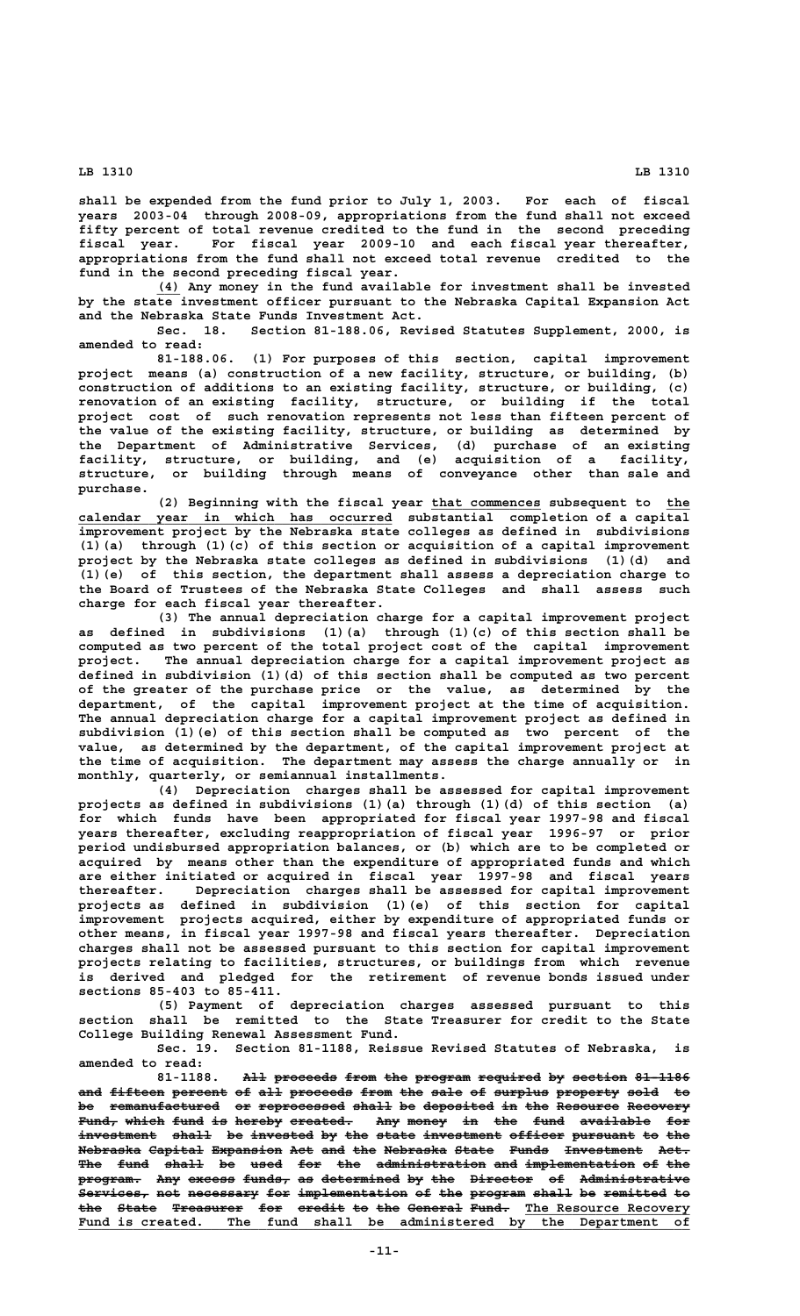**shall be expended from the fund prior to July 1, 2003. For each of fiscal years 2003-04 through 2008-09, appropriations from the fund shall not exceed fifty percent of total revenue credited to the fund in the second preceding fiscal year. For fiscal year 2009-10 and each fiscal year thereafter, appropriations from the fund shall not exceed total revenue credited to the fund in the second preceding fiscal year.**

 **\_\_\_ (4) Any money in the fund available for investment shall be invested by the state investment officer pursuant to the Nebraska Capital Expansion Act and the Nebraska State Funds Investment Act.**

**Sec. 18. Section 81-188.06, Revised Statutes Supplement, 2000, is amended to read:**

**81-188.06. (1) For purposes of this section, capital improvement project means (a) construction of a new facility, structure, or building, (b) construction of additions to an existing facility, structure, or building, (c) renovation of an existing facility, structure, or building if the total project cost of such renovation represents not less than fifteen percent of the value of the existing facility, structure, or building as determined by the Department of Administrative Services, (d) purchase of an existing facility, structure, or building, and (e) acquisition of a facility, structure, or building through means of conveyance other than sale and purchase.**

(2) Beginning with the fiscal year that commences subsequent to the  **\_\_\_\_\_\_\_\_\_\_\_\_\_\_\_\_\_\_\_\_\_\_\_\_\_\_\_\_\_\_\_\_\_\_\_\_\_\_\_\_ calendar year in which has occurred substantial completion of a capital improvement project by the Nebraska state colleges as defined in subdivisions (1)(a) through (1)(c) of this section or acquisition of a capital improvement project by the Nebraska state colleges as defined in subdivisions (1)(d) and (1)(e) of this section, the department shall assess a depreciation charge to the Board of Trustees of the Nebraska State Colleges and shall assess such charge for each fiscal year thereafter.**

**(3) The annual depreciation charge for a capital improvement project as defined in subdivisions (1)(a) through (1)(c) of this section shall be computed as two percent of the total project cost of the capital improvement project. The annual depreciation charge for a capital improvement project as defined in subdivision (1)(d) of this section shall be computed as two percent of the greater of the purchase price or the value, as determined by the department, of the capital improvement project at the time of acquisition. The annual depreciation charge for a capital improvement project as defined in subdivision (1)(e) of this section shall be computed as two percent of the value, as determined by the department, of the capital improvement project at the time of acquisition. The department may assess the charge annually or in monthly, quarterly, or semiannual installments.**

**(4) Depreciation charges shall be assessed for capital improvement projects as defined in subdivisions (1)(a) through (1)(d) of this section (a) for which funds have been appropriated for fiscal year 1997-98 and fiscal years thereafter, excluding reappropriation of fiscal year 1996-97 or prior period undisbursed appropriation balances, or (b) which are to be completed or acquired by means other than the expenditure of appropriated funds and which are either initiated or acquired in fiscal year 1997-98 and fiscal years thereafter. Depreciation charges shall be assessed for capital improvement projects as defined in subdivision (1)(e) of this section for capital improvement projects acquired, either by expenditure of appropriated funds or other means, in fiscal year 1997-98 and fiscal years thereafter. Depreciation charges shall not be assessed pursuant to this section for capital improvement projects relating to facilities, structures, or buildings from which revenue is derived and pledged for the retirement of revenue bonds issued under sections 85-403 to 85-411.**

**(5) Payment of depreciation charges assessed pursuant to this section shall be remitted to the State Treasurer for credit to the State College Building Renewal Assessment Fund.**

**Sec. 19. Section 81-1188, Reissue Revised Statutes of Nebraska, is amended to read:**

81-1188. All proceeds from the program required by section 81-1186 and fifteen percent of all proceeds from the sale of surplus property sold to be remanufactured or reprocessed shall be deposited in the Resource Recovery Fund, which fund is hereby created. Any money in the fund available for investment shall be invested by the state investment officer pursuant to the **Nebraska Capital Expansion Act and the Nebraska State Funds Investment Act.** The fund shall be used for the administration and implementation of the program. Any excess funds, as determined by the Director of Administrative  $S$ ervices, not necessary for implementation of the program shall be remitted to **the State Treasurer for credit to the General Fund. The Resource Recovery** Fund is created. The fund shall be administered by the Department of